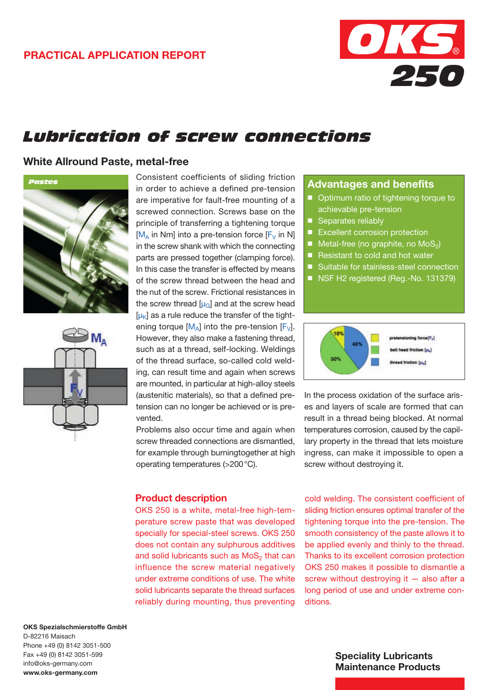

## *Lubrication of screw connections*

#### White Allround Paste, metal-free





Consistent coefficients of sliding friction in order to achieve a defined pre-tension are imperative for fault-free mounting of a screwed connection. Screws base on the principle of transferring a tightening torque  $[M_A]$  in Nm] into a pre-tension force  $[F_V]$  in N] in the screw shank with which the connecting parts are pressed together (clamping force). In this case the transfer is effected by means of the screw thread between the head and the nut of the screw. Frictional resistances in the screw thread  $[\mu_{\rm G}]$  and at the screw head  $[\mu_k]$  as a rule reduce the transfer of the tightening torque  $[M_A]$  into the pre-tension  $[F_V]$ . However, they also make a fastening thread, such as at a thread, self-locking. Weldings of the thread surface, so-called cold welding, can result time and again when screws are mounted, in particular at high-alloy steels (austenitic materials), so that a defined pretension can no longer be achieved or is prevented.

Problems also occur time and again when screw threaded connections are dismantled, for example through burningtogether at high operating temperatures (>200°C).

#### Product description

OKS 250 is a white, metal-free high-temperature screw paste that was developed specially for special-steel screws. OKS 250 does not contain any sulphurous additives and solid lubricants such as  $MoS<sub>2</sub>$  that can influence the screw material negatively under extreme conditions of use. The white solid lubricants separate the thread surfaces reliably during mounting, thus preventing

#### Advantages and benefits

- Optimum ratio of tightening torque to achievable pre-tension
- Separates reliably
- **Excellent corrosion protection**
- Metal-free (no graphite, no  $MoS<sub>2</sub>$ )
- Resistant to cold and hot water
- Suitable for stainless-steel connection
- NSF H2 registered (Reg.-No. 131379)



In the process oxidation of the surface arises and layers of scale are formed that can result in a thread being blocked. At normal temperatures corrosion, caused by the capillary property in the thread that lets moisture ingress, can make it impossible to open a screw without destroying it.

cold welding. The consistent coefficient of sliding friction ensures optimal transfer of the tightening torque into the pre-tension. The smooth consistency of the paste allows it to be applied evenly and thinly to the thread. Thanks to its excellent corrosion protection OKS 250 makes it possible to dismantle a screw without destroying it - also after a long period of use and under extreme conditions.

OKS Spezialschmierstoffe GmbH D-82216 Maisach Phone +49 (0) 8142 3051-500 Fax +49 (0) 8142 3051-599 info@oks-germany.com www.oks-germany.com

#### Speciality Lubricants Maintenance Products